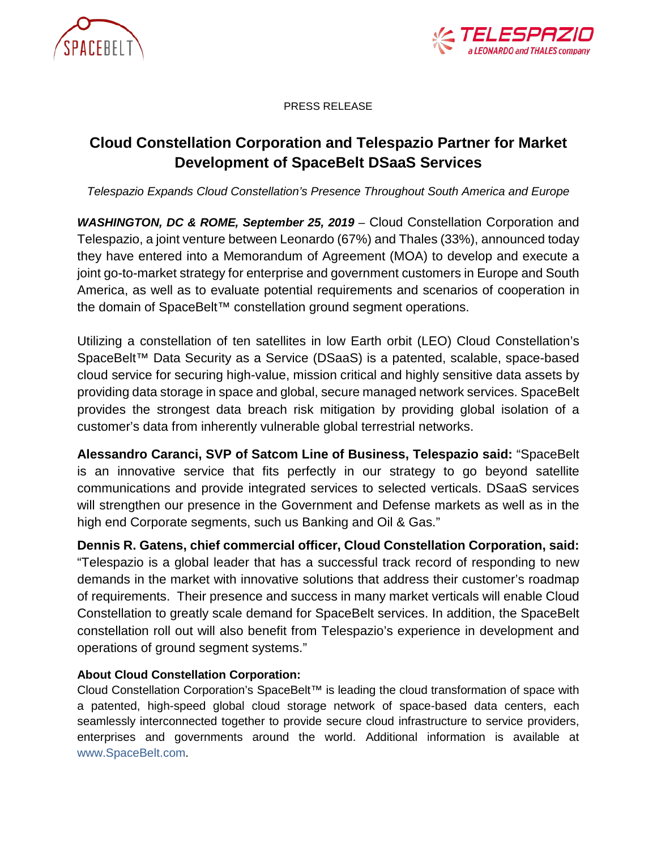



PRESS RELEASE

## **Cloud Constellation Corporation and Telespazio Partner for Market Development of SpaceBelt DSaaS Services**

*Telespazio Expands Cloud Constellation's Presence Throughout South America and Europe*

*WASHINGTON, DC & ROME, September 25, 2019 –* Cloud Constellation Corporation and Telespazio, a joint venture between Leonardo (67%) and Thales (33%), announced today they have entered into a Memorandum of Agreement (MOA) to develop and execute a joint go-to-market strategy for enterprise and government customers in Europe and South America, as well as to evaluate potential requirements and scenarios of cooperation in the domain of SpaceBelt™ constellation ground segment operations.

Utilizing a constellation of ten satellites in low Earth orbit (LEO) Cloud Constellation's SpaceBelt™ Data Security as a Service (DSaaS) is a patented, scalable, space-based cloud service for securing high-value, mission critical and highly sensitive data assets by providing data storage in space and global, secure managed network services. SpaceBelt provides the strongest data breach risk mitigation by providing global isolation of a customer's data from inherently vulnerable global terrestrial networks.

**Alessandro Caranci, SVP of Satcom Line of Business, Telespazio said:** "SpaceBelt is an innovative service that fits perfectly in our strategy to go beyond satellite communications and provide integrated services to selected verticals. DSaaS services will strengthen our presence in the Government and Defense markets as well as in the high end Corporate segments, such us Banking and Oil & Gas."

**Dennis R. Gatens, chief commercial officer, Cloud Constellation Corporation, said:** "Telespazio is a global leader that has a successful track record of responding to new demands in the market with innovative solutions that address their customer's roadmap of requirements. Their presence and success in many market verticals will enable Cloud Constellation to greatly scale demand for SpaceBelt services. In addition, the SpaceBelt constellation roll out will also benefit from Telespazio's experience in development and operations of ground segment systems."

## **About Cloud Constellation Corporation:**

Cloud Constellation Corporation's SpaceBelt™ is leading the cloud transformation of space with a patented, high-speed global cloud storage network of space-based data centers, each seamlessly interconnected together to provide secure cloud infrastructure to service providers, enterprises and governments around the world. Additional information is available at [www.SpaceBelt.com.](http://www.spacebelt.com/)